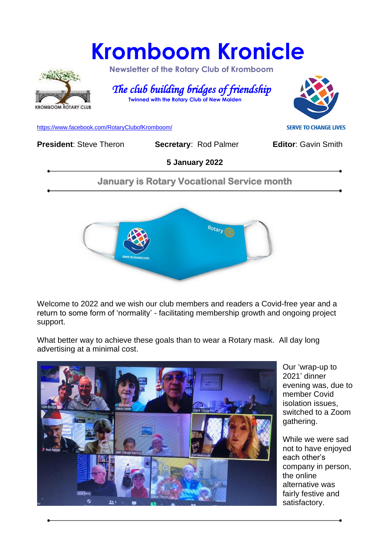# **Kromboom Kronicle**



 **Newsletter of the Rotary Club of Kromboom** 

 *The club building bridges of friendship*   **Twinned with the Rotary Club of New Malden**



[https://www.facebook.com/RotaryClubofKromboom/](https://emea01.safelinks.protection.outlook.com/?url=https%3A%2F%2Fwww.facebook.com%2FRotaryClubofKromboom%2F&data=04%7C01%7C%7Cd5cbab1d20df4229753808d958aed8b7%7C84df9e7fe9f640afb435aaaaaaaaaaaa%7C1%7C0%7C637638330257198543%7CUnknown%7CTWFpbGZsb3d8eyJWIjoiMC4wLjAwMDAiLCJQIjoiV2luMzIiLCJBTiI6Ik1haWwiLCJXVCI6Mn0%3D%7C1000&sdata=mDIKThBFOsjFFCPfaDaIk4CAPMCijMbG5OU6PW4Loes%3D&reserved=0)

**President:** Steve Theron **Secretary: Rod Palmer <b>Editor:** Gavin Smith

**5 January 2022**

**January is Rotary Vocational Service month** 



Welcome to 2022 and we wish our club members and readers a Covid-free year and a return to some form of 'normality' - facilitating membership growth and ongoing project support.

What better way to achieve these goals than to wear a Rotary mask. All day long advertising at a minimal cost.



Our 'wrap-up to 2021' dinner evening was, due to member Covid isolation issues, switched to a Zoom gathering.

While we were sad not to have enjoyed each other's company in person, the online alternative was fairly festive and satisfactory.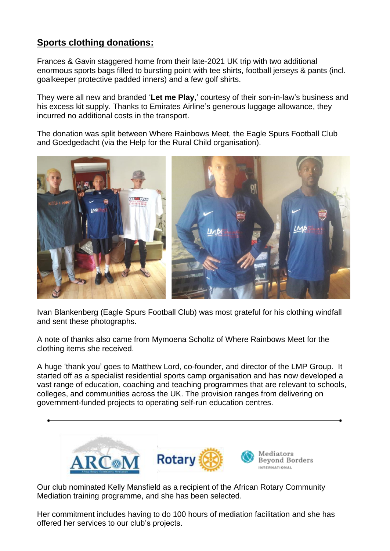### **Sports clothing donations:**

Frances & Gavin staggered home from their late-2021 UK trip with two additional enormous sports bags filled to bursting point with tee shirts, football jerseys & pants (incl. goalkeeper protective padded inners) and a few golf shirts.

They were all new and branded '**Let me Play**,' courtesy of their son-in-law's business and his excess kit supply. Thanks to Emirates Airline's generous luggage allowance, they incurred no additional costs in the transport.

The donation was split between Where Rainbows Meet, the Eagle Spurs Football Club and Goedgedacht (via the Help for the Rural Child organisation).



Ivan Blankenberg (Eagle Spurs Football Club) was most grateful for his clothing windfall and sent these photographs.

A note of thanks also came from Mymoena Scholtz of Where Rainbows Meet for the clothing items she received.

A huge 'thank you' goes to Matthew Lord, co-founder, and director of the LMP Group. It started off as a specialist residential sports camp organisation and has now developed a vast range of education, coaching and teaching programmes that are relevant to schools, colleges, and communities across the UK. The provision ranges from delivering on government-funded projects to operating self-run education centres.



Our club nominated Kelly Mansfield as a recipient of the African Rotary Community Mediation training programme, and she has been selected.

Her commitment includes having to do 100 hours of mediation facilitation and she has offered her services to our club's projects.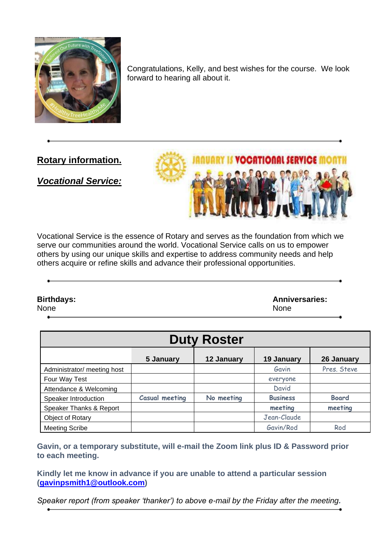

Congratulations, Kelly, and best wishes for the course. We look forward to hearing all about it.

**Rotary information.**

### *Vocational Service:*



Vocational Service is the essence of Rotary and serves as the foundation from which we serve our communities around the world. Vocational Service calls on us to empower others by using our unique skills and expertise to address community needs and help others acquire or refine skills and advance their professional opportunities.

**Birthdays: Anniversaries:**  None None

| <b>Duty Roster</b>          |                       |            |                 |              |
|-----------------------------|-----------------------|------------|-----------------|--------------|
|                             | 5 January             | 12 January | 19 January      | 26 January   |
| Administrator/ meeting host |                       |            | Gavin           | Pres. Steve  |
| Four Way Test               |                       |            | everyone        |              |
| Attendance & Welcoming      |                       |            | David           |              |
| Speaker Introduction        | <b>Casual meeting</b> | No meeting | <b>Business</b> | <b>Board</b> |
| Speaker Thanks & Report     |                       |            | meeting         | meeting      |
| Object of Rotary            |                       |            | Jean-Claude     |              |
| <b>Meeting Scribe</b>       |                       |            | Gavin/Rod       | Rod          |

**Gavin, or a temporary substitute, will e-mail the Zoom link plus ID & Password prior to each meeting.**

**Kindly let me know in advance if you are unable to attend a particular session [\(gavinpsmith1@outlook.com\)](mailto:gavinpsmith1@outlook.com)** 

*Speaker report (from speaker 'thanker') to above e-mail by the Friday after the meeting.*